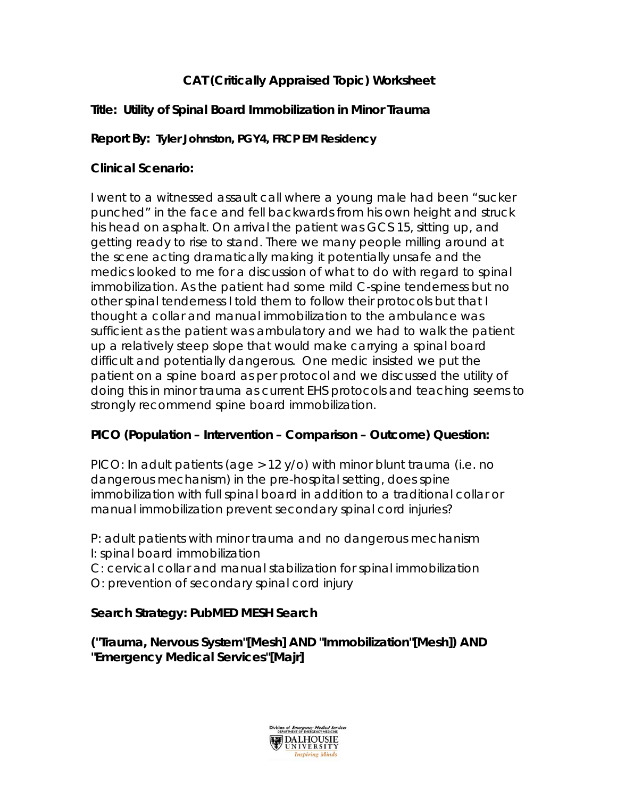# **CAT (Critically Appraised Topic) Worksheet**

## **Title: Utility of Spinal Board Immobilization in Minor Trauma**

### **Report By: Tyler Johnston, PGY4, FRCP EM Residency**

### **Clinical Scenario:**

I went to a witnessed assault call where a young male had been "sucker punched" in the face and fell backwards from his own height and struck his head on asphalt. On arrival the patient was GCS 15, sitting up, and getting ready to rise to stand. There we many people milling around at the scene acting dramatically making it potentially unsafe and the medics looked to me for a discussion of what to do with regard to spinal immobilization. As the patient had some mild C-spine tenderness but no other spinal tenderness I told them to follow their protocols but that I thought a collar and manual immobilization to the ambulance was sufficient as the patient was ambulatory and we had to walk the patient up a relatively steep slope that would make carrying a spinal board difficult and potentially dangerous. One medic insisted we put the patient on a spine board as per protocol and we discussed the utility of doing this in minor trauma as current EHS protocols and teaching seems to strongly recommend spine board immobilization.

### **PICO (Population – Intervention – Comparison – Outcome) Question:**

PICO: In adult patients (age > 12 y/o) with minor blunt trauma (i.e. no dangerous mechanism) in the pre-hospital setting, does spine immobilization with full spinal board in addition to a traditional collar or manual immobilization prevent secondary spinal cord injuries?

P: adult patients with minor trauma and no dangerous mechanism I: spinal board immobilization

C: cervical collar and manual stabilization for spinal immobilization O: prevention of secondary spinal cord injury

### **Search Strategy: PubMED MESH Search**

**("Trauma, Nervous System"[Mesh] AND "Immobilization"[Mesh]) AND "Emergency Medical Services"[Majr]** 

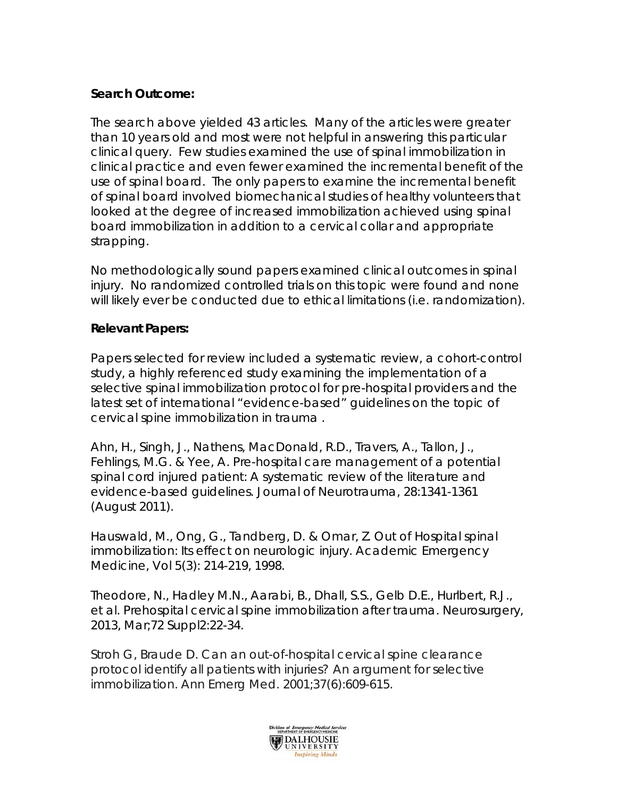### **Search Outcome:**

The search above yielded 43 articles. Many of the articles were greater than 10 years old and most were not helpful in answering this particular clinical query. Few studies examined the use of spinal immobilization in clinical practice and even fewer examined the incremental benefit of the use of spinal board. The only papers to examine the incremental benefit of spinal board involved biomechanical studies of healthy volunteers that looked at the degree of increased immobilization achieved using spinal board immobilization in addition to a cervical collar and appropriate strapping.

No methodologically sound papers examined clinical outcomes in spinal injury. No randomized controlled trials on this topic were found and none will likely ever be conducted due to ethical limitations (i.e. randomization).

#### **Relevant Papers:**

Papers selected for review included a systematic review, a cohort-control study, a highly referenced study examining the implementation of a selective spinal immobilization protocol for pre-hospital providers and the latest set of international "evidence-based" guidelines on the topic of cervical spine immobilization in trauma .

Ahn, H., Singh, J., Nathens, MacDonald, R.D., Travers, A., Tallon, J., Fehlings, M.G. & Yee, A. Pre-hospital care management of a potential spinal cord injured patient: A systematic review of the literature and evidence-based guidelines. *Journal of Neurotrauma, 28:*1341-1361 (August 2011).

Hauswald, M., Ong, G., Tandberg, D. & Omar, Z. Out of Hospital spinal immobilization: Its effect on neurologic injury. *Academic Emergency Medicine, Vol 5(*3): 214-219, 1998.

Theodore, N., Hadley M.N., Aarabi, B., Dhall, S.S., Gelb D.E., Hurlbert, R.J., et al. Prehospital cervical spine immobilization after trauma. *Neurosurgery,*  2013, Mar;72 Suppl2:22-34.

Stroh G, Braude D. Can an out-of-hospital cervical spine clearance protocol identify all patients with injuries? An argument for selective immobilization. *Ann Emerg Med*. 2001;37(6):609-615.

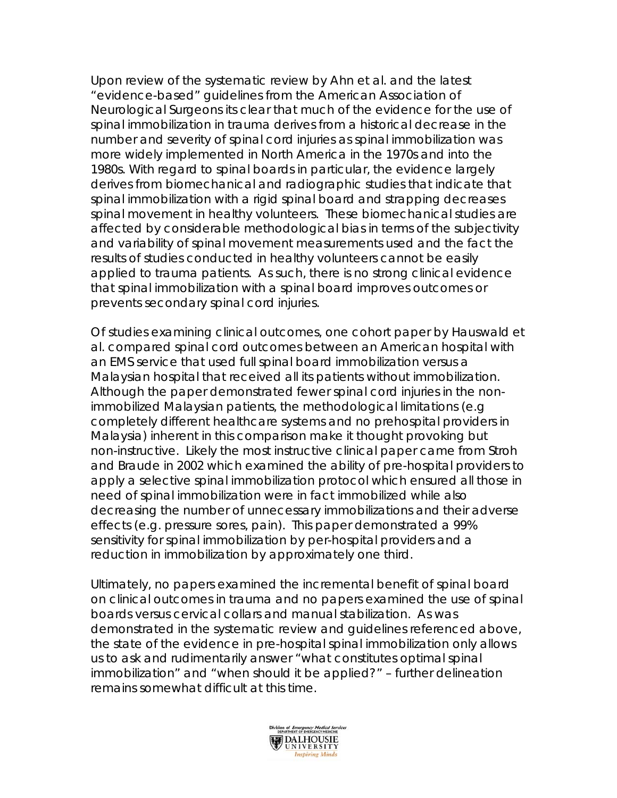Upon review of the systematic review by Ahn et al. and the latest "evidence-based" guidelines from the American Association of Neurological Surgeons its clear that much of the evidence for the use of spinal immobilization in trauma derives from a historical decrease in the number and severity of spinal cord injuries as spinal immobilization was more widely implemented in North America in the 1970s and into the 1980s. With regard to spinal boards in particular, the evidence largely derives from biomechanical and radiographic studies that indicate that spinal immobilization with a rigid spinal board and strapping decreases spinal movement in healthy volunteers. These biomechanical studies are affected by considerable methodological bias in terms of the subjectivity and variability of spinal movement measurements used and the fact the results of studies conducted in healthy volunteers cannot be easily applied to trauma patients. As such, there is no strong clinical evidence that spinal immobilization with a spinal board improves outcomes or prevents secondary spinal cord injuries.

Of studies examining clinical outcomes, one cohort paper by Hauswald et al. compared spinal cord outcomes between an American hospital with an EMS service that used full spinal board immobilization versus a Malaysian hospital that received all its patients without immobilization. Although the paper demonstrated fewer spinal cord injuries in the nonimmobilized Malaysian patients, the methodological limitations (e.g completely different healthcare systems and no prehospital providers in Malaysia) inherent in this comparison make it thought provoking but non-instructive. Likely the most instructive clinical paper came from Stroh and Braude in 2002 which examined the ability of pre-hospital providers to apply a selective spinal immobilization protocol which ensured all those in need of spinal immobilization were in fact immobilized while also decreasing the number of unnecessary immobilizations and their adverse effects (e.g. pressure sores, pain). This paper demonstrated a 99% sensitivity for spinal immobilization by per-hospital providers and a reduction in immobilization by approximately one third.

Ultimately, no papers examined the incremental benefit of spinal board on clinical outcomes in trauma and no papers examined the use of spinal boards versus cervical collars and manual stabilization. As was demonstrated in the systematic review and guidelines referenced above, the state of the evidence in pre-hospital spinal immobilization only allows us to ask and rudimentarily answer "what constitutes optimal spinal immobilization" and "when should it be applied?" – further delineation remains somewhat difficult at this time.